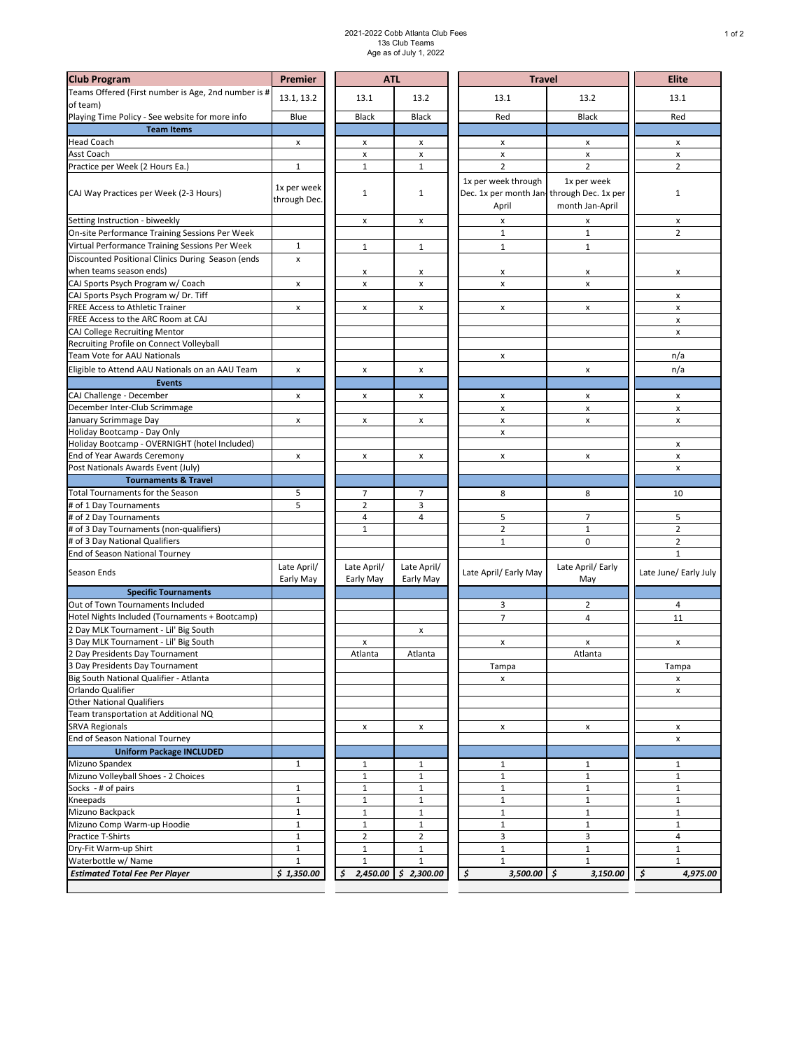## 2021-2022 Cobb Atlanta Club Fees 13s Club Teams Age as of July 1, 2022

| <b>Club Program</b>                                                              | Premier                     | <b>ATL</b>                   |                          | <b>Travel</b>                                                             | <b>Elite</b>                   |                              |
|----------------------------------------------------------------------------------|-----------------------------|------------------------------|--------------------------|---------------------------------------------------------------------------|--------------------------------|------------------------------|
| Teams Offered (First number is Age, 2nd number is #<br>of team)                  | 13.1, 13.2                  | 13.1                         | 13.2                     | 13.1                                                                      | 13.2                           | 13.1                         |
| Playing Time Policy - See website for more info                                  | Blue                        | <b>Black</b>                 | <b>Black</b>             | Red                                                                       | <b>Black</b>                   | Red                          |
| <b>Team Items</b>                                                                |                             |                              |                          |                                                                           |                                |                              |
| <b>Head Coach</b>                                                                | x                           | x                            | x                        | x                                                                         | x                              | x                            |
| Asst Coach                                                                       |                             | x                            | $\pmb{\mathsf{x}}$       | $\pmb{\mathsf{x}}$                                                        | $\pmb{\mathsf{x}}$             | x                            |
| Practice per Week (2 Hours Ea.)                                                  | $\mathbf 1$                 | $\mathbf{1}$                 | 1                        | $\overline{2}$                                                            | $\overline{2}$                 | $\overline{2}$               |
| CAJ Way Practices per Week (2-3 Hours)                                           | 1x per week<br>through Dec. | 1                            | 1                        | 1x per week through<br>Dec. 1x per month Jan-through Dec. 1x per<br>April | 1x per week<br>month Jan-April | $\mathbf 1$                  |
|                                                                                  |                             |                              |                          |                                                                           |                                |                              |
| Setting Instruction - biweekly<br>On-site Performance Training Sessions Per Week |                             | x                            | x                        | x<br>$\mathbf 1$                                                          | x<br>$\mathbf 1$               | x<br>$\overline{2}$          |
| Virtual Performance Training Sessions Per Week                                   | $\mathbf{1}$                |                              |                          |                                                                           |                                |                              |
| Discounted Positional Clinics During Season (ends                                |                             | $\mathbf{1}$                 | 1                        | $1\,$                                                                     | $\mathbf{1}$                   |                              |
| when teams season ends)                                                          | $\pmb{\times}$              |                              |                          |                                                                           |                                |                              |
| CAJ Sports Psych Program w/ Coach                                                | x                           | x<br>x                       | X<br>x                   | x<br>x                                                                    | x<br>x                         | x                            |
| CAJ Sports Psych Program w/ Dr. Tiff                                             |                             |                              |                          |                                                                           |                                | x                            |
| FREE Access to Athletic Trainer                                                  | $\pmb{\times}$              | x                            | x                        | x                                                                         | x                              | x                            |
| FREE Access to the ARC Room at CAJ                                               |                             |                              |                          |                                                                           |                                | x                            |
| CAJ College Recruiting Mentor                                                    |                             |                              |                          |                                                                           |                                | x                            |
| Recruiting Profile on Connect Volleyball                                         |                             |                              |                          |                                                                           |                                |                              |
| Team Vote for AAU Nationals                                                      |                             |                              |                          | x                                                                         |                                | n/a                          |
| Eligible to Attend AAU Nationals on an AAU Team                                  | $\pmb{\times}$              | x                            | x                        |                                                                           | x                              | n/a                          |
| <b>Events</b>                                                                    |                             |                              |                          |                                                                           |                                |                              |
| CAJ Challenge - December                                                         | x                           | x                            | x                        | $\pmb{\times}$                                                            | x                              | x                            |
| December Inter-Club Scrimmage                                                    |                             |                              |                          | X                                                                         | $\pmb{\mathsf{x}}$             | $\pmb{\mathsf{x}}$           |
| January Scrimmage Day                                                            | X                           | x                            | x                        | x                                                                         | x                              | $\pmb{\mathsf{x}}$           |
| Holiday Bootcamp - Day Only                                                      |                             |                              |                          | x                                                                         |                                |                              |
| Holiday Bootcamp - OVERNIGHT (hotel Included)                                    |                             |                              |                          |                                                                           |                                | x                            |
| End of Year Awards Ceremony                                                      | x                           | x                            | x                        | x                                                                         | x                              | x                            |
| Post Nationals Awards Event (July)                                               |                             |                              |                          |                                                                           |                                | x                            |
| <b>Tournaments &amp; Travel</b>                                                  |                             |                              |                          |                                                                           |                                |                              |
| Total Tournaments for the Season                                                 | 5                           | 7                            | 7                        | 8                                                                         | 8                              | 10                           |
| # of 1 Day Tournaments                                                           | 5                           | $\overline{2}$               | 3                        |                                                                           |                                |                              |
| # of 2 Day Tournaments                                                           |                             | 4                            | 4                        | 5                                                                         | 7                              | 5                            |
| # of 3 Day Tournaments (non-qualifiers)                                          |                             | $\mathbf 1$                  |                          | $\overline{2}$                                                            | $1\,$                          | $\mathbf 2$                  |
| # of 3 Day National Qualifiers                                                   |                             |                              |                          | $\mathbf 1$                                                               | $\pmb{0}$                      | $\mathbf 2$                  |
| End of Season National Tourney                                                   |                             |                              |                          |                                                                           |                                | $1\,$                        |
| Season Ends                                                                      | Late April/<br>Early May    | Late April/<br>Early May     | Late April/<br>Early May | Late April/ Early May                                                     | Late April/ Early<br>May       | Late June/ Early July        |
| <b>Specific Tournaments</b>                                                      |                             |                              |                          |                                                                           |                                |                              |
| Out of Town Tournaments Included                                                 |                             |                              |                          | 3                                                                         | 2                              | 4                            |
| Hotel Nights Included (Tournaments + Bootcamp)                                   |                             |                              |                          | $\overline{7}$                                                            | 4                              | 11                           |
| 2 Day MLK Tournament - Lil' Big South                                            |                             |                              | X                        |                                                                           |                                |                              |
| 3 Day MLK Tournament - Lil' Big South                                            |                             | x                            |                          | x                                                                         | x                              | x                            |
| Day Presidents Day Tournament                                                    |                             | Atlanta                      | Atlanta                  |                                                                           | Atlanta                        |                              |
| 3 Day Presidents Day Tournament                                                  |                             |                              |                          | Tampa                                                                     |                                | Tampa                        |
| Big South National Qualifier - Atlanta                                           |                             |                              |                          | x                                                                         |                                | x                            |
| Orlando Qualifier                                                                |                             |                              |                          |                                                                           |                                | x                            |
| <b>Other National Qualifiers</b>                                                 |                             |                              |                          |                                                                           |                                |                              |
| Team transportation at Additional NQ                                             |                             |                              |                          |                                                                           |                                |                              |
| <b>SRVA Regionals</b><br>End of Season National Tourney                          |                             | X                            | x                        | X                                                                         | X                              | X                            |
| <b>Uniform Package INCLUDED</b>                                                  |                             |                              |                          |                                                                           |                                | x                            |
|                                                                                  |                             |                              |                          |                                                                           |                                |                              |
| Mizuno Spandex<br>Mizuno Volleyball Shoes - 2 Choices                            | $\mathbf{1}$                | $\mathbf{1}$<br>$\mathbf{1}$ | 1<br>$\mathbf 1$         | $\mathbf{1}$                                                              | $\mathbf{1}$<br>$\mathbf{1}$   | $\mathbf{1}$<br>$\mathbf{1}$ |
| Socks - # of pairs                                                               |                             |                              | $\mathbf 1$              | $1\,$<br>$1\,$                                                            | $\mathbf 1$                    | $\mathbf 1$                  |
| Kneepads                                                                         | $1\,$<br>$\mathbf 1$        | $1\,$<br>$\mathbf{1}$        | $\mathbf{1}$             | $1\,$                                                                     | $\mathbf{1}$                   | $\mathbf 1$                  |
| Mizuno Backpack                                                                  | $\mathbf 1$                 | $\mathbf{1}$                 | $\mathbf 1$              | $1\,$                                                                     | $1\,$                          | $\mathbf{1}$                 |
| Mizuno Comp Warm-up Hoodie                                                       | $\mathbf 1$                 | $\mathbf{1}$                 | $\mathbf{1}$             | $\mathbf{1}$                                                              | $\mathbf{1}$                   | $\mathbf{1}$                 |
| <b>Practice T-Shirts</b>                                                         | $\mathbf 1$                 | $\overline{2}$               | $\overline{2}$           | 3                                                                         | 3                              | $\overline{4}$               |
| Dry-Fit Warm-up Shirt                                                            | $\mathbf 1$                 | $\mathbf{1}$                 | 1                        | $1\,$                                                                     | $\mathbf{1}$                   | $\mathbf{1}$                 |
| Waterbottle w/ Name                                                              | $\mathbf 1$                 | $\mathbf{1}$                 | $\mathbf 1$              | $1\,$                                                                     | $\mathbf{1}$                   | $\mathbf 1$                  |
| <b>Estimated Total Fee Per Player</b>                                            | \$1,350.00                  | \$                           | $2,450.00$ \$ 2,300.00   | $\boldsymbol{\mathsf{S}}$<br>3,500.00                                     | \$<br>3,150.00                 | \$<br>4,975.00               |
|                                                                                  |                             |                              |                          |                                                                           |                                |                              |